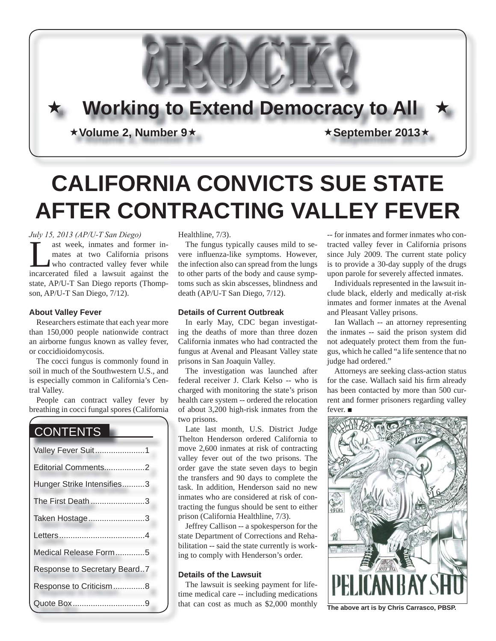

# **CALIFORNIA CONVICTS SUE STATE AFTER CONTRACTING VALLEY FEVER**

*July 15, 2013 (AP/U-T San Diego)*

ast week, inmates and former inmates at two California prisons who contracted valley fever while incarcerated filed a lawsuit against the state, AP/U-T San Diego reports (Thompson, AP/U-T San Diego, 7/12).

### **About Valley Fever**

Researchers estimate that each year more than 150,000 people nationwide contract an airborne fungus known as valley fever, or coccidioidomycosis.

The cocci fungus is commonly found in soil in much of the Southwestern U.S., and is especially common in California's Central Valley.

People can contract valley fever by breathing in cocci fungal spores (California

# CONTENTS

| Valley Fever Suit1           |  |
|------------------------------|--|
| Editorial Comments2          |  |
| Hunger Strike Intensifies3   |  |
| The First Death3             |  |
| Taken Hostage3               |  |
|                              |  |
| Medical Release Form5        |  |
| Response to Secretary Beard7 |  |
| Response to Criticism8       |  |
|                              |  |

Healthline, 7/3).

The fungus typically causes mild to severe influenza-like symptoms. However, the infection also can spread from the lungs to other parts of the body and cause symptoms such as skin abscesses, blindness and death (AP/U-T San Diego, 7/12).

### **Details of Current Outbreak**

In early May, CDC began investigating the deaths of more than three dozen California inmates who had contracted the fungus at Avenal and Pleasant Valley state prisons in San Joaquin Valley.

The investigation was launched after federal receiver J. Clark Kelso -- who is charged with monitoring the state's prison health care system -- ordered the relocation of about 3,200 high-risk inmates from the two prisons. t

Late last month, U.S. District Judge Thelton Henderson ordered California to T move 2,600 inmates at risk of contracting m valley fever out of the two prisons. The order gave the state seven days to begin the transfers and 90 days to complete the t task. In addition, Henderson said no new inmates who are considered at risk of con-i tracting the fungus should be sent to either prison (California Healthline, 7/3). p

Jeffrey Callison -- a spokesperson for the state Department of Corrections and Rehabilitation -- said the state currently is work-b ing to comply with Henderson's order.

### **Details of the Lawsuit**

The lawsuit is seeking payment for lifetime medical care -- including medications t that can cost as much as \$2,000 monthly

-- for inmates and former inmates who contracted valley fever in California prisons since July 2009. The current state policy is to provide a 30-day supply of the drugs upon parole for severely affected inmates.

Individuals represented in the lawsuit include black, elderly and medically at-risk inmates and former inmates at the Avenal and Pleasant Valley prisons.

Ian Wallach -- an attorney representing the inmates -- said the prison system did not adequately protect them from the fungus, which he called "a life sentence that no judge had ordered."

Attorneys are seeking class-action status for the case. Wallach said his firm already has been contacted by more than 500 current and former prisoners regarding valley fever. *■*



**The above art is by Chris Carrasco, PBSP.**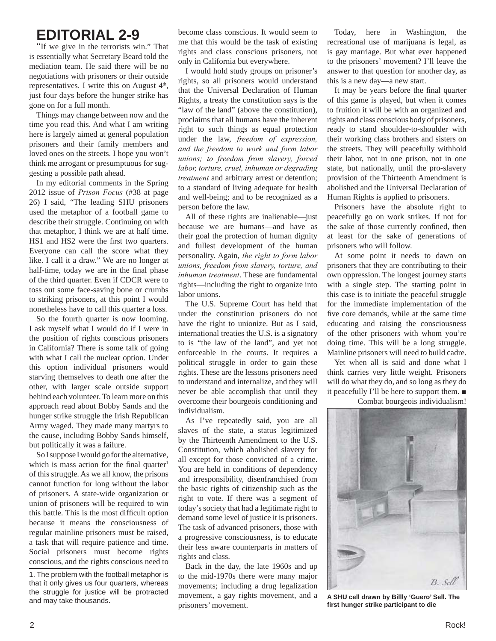## **EDITORIAL 2-9**

"If we give in the terrorists win." That is essentially what Secretary Beard told the mediation team. He said there will be no negotiations with prisoners or their outside representatives. I write this on August  $4<sup>th</sup>$ , just four days before the hunger strike has gone on for a full month.

Things may change between now and the time you read this. And what I am writing here is largely aimed at general population prisoners and their family members and loved ones on the streets. I hope you won't think me arrogant or presumptuous for suggesting a possible path ahead.

In my editorial comments in the Spring 2012 issue of *Prison Focus* (#38 at page 26) I said, "The leading SHU prisoners used the metaphor of a football game to describe their struggle. Continuing on with that metaphor, I think we are at half time. HS1 and HS2 were the first two quarters. Everyone can call the score what they like. I call it a draw." We are no longer at half-time, today we are in the final phase of the third quarter. Even if CDCR were to toss out some face-saving bone or crumbs to striking prisoners, at this point I would nonetheless have to call this quarter a loss.

So the fourth quarter is now looming. I ask myself what I would do if I were in the position of rights conscious prisoners in California? There is some talk of going with what I call the nuclear option. Under this option individual prisoners would starving themselves to death one after the other, with larger scale outside support behind each volunteer. To learn more on this approach read about Bobby Sands and the hunger strike struggle the Irish Republican Army waged. They made many martyrs to the cause, including Bobby Sands himself, but politically it was a failure.

So I suppose I would go for the alternative, which is mass action for the final quarter $1$ of this struggle. As we all know, the prisons cannot function for long without the labor of prisoners. A state-wide organization or union of prisoners will be required to win this battle. This is the most difficult option because it means the consciousness of regular mainline prisoners must be raised, a task that will require patience and time. Social prisoners must become rights conscious, and the rights conscious need to

become class conscious. It would seem to me that this would be the task of existing rights and class conscious prisoners, not only in California but everywhere.

I would hold study groups on prisoner's rights, so all prisoners would understand that the Universal Declaration of Human Rights, a treaty the constitution says is the "law of the land" (above the constitution), proclaims that all humans have the inherent right to such things as equal protection under the law, *freedom of expression, and the freedom to work and form labor unions; to freedom from slavery, forced labor, torture, cruel, inhuman or degrading treatment* and arbitrary arrest or detention; to a standard of living adequate for health and well-being; and to be recognized as a person before the law.

All of these rights are inalienable—just because we are humans—and have as their goal the protection of human dignity and fullest development of the human personality. Again, *the right to form labor unions, freedom from slavery, torture, and inhuman treatment*. These are fundamental rights—including the right to organize into labor unions.

The U.S. Supreme Court has held that under the constitution prisoners do not have the right to unionize. But as I said, international treaties the U.S. is a signatory to is "the law of the land", and yet not enforceable in the courts. It requires a political struggle in order to gain these rights. These are the lessons prisoners need to understand and internalize, and they will never be able accomplish that until they overcome their bourgeois conditioning and individualism.

As I've repeatedly said, you are all slaves of the state, a status legitimized by the Thirteenth Amendment to the U.S. Constitution, which abolished slavery for all except for those convicted of a crime. You are held in conditions of dependency and irresponsibility, disenfranchised from the basic rights of citizenship such as the right to vote. If there was a segment of today's society that had a legitimate right to demand some level of justice it is prisoners. The task of advanced prisoners, those with a progressive consciousness, is to educate their less aware counterparts in matters of rights and class.

Back in the day, the late 1960s and up to the mid-1970s there were many major movements; including a drug legalization movement, a gay rights movement, and a prisoners' movement.

Today, here in Washington, the recreational use of marijuana is legal, as is gay marriage. But what ever happened to the prisoners' movement? I'll leave the answer to that question for another day, as this is a new day—a new start.

It may be years before the final quarter of this game is played, but when it comes to fruition it will be with an organized and rights and class conscious body of prisoners, ready to stand shoulder-to-shoulder with their working class brothers and sisters on the streets. They will peacefully withhold their labor, not in one prison, not in one state, but nationally, until the pro-slavery provision of the Thirteenth Amendment is abolished and the Universal Declaration of Human Rights is applied to prisoners.

Prisoners have the absolute right to peacefully go on work strikes. If not for the sake of those currently confined, then at least for the sake of generations of prisoners who will follow.

At some point it needs to dawn on prisoners that they are contributing to their own oppression. The longest journey starts with a single step. The starting point in this case is to initiate the peaceful struggle for the immediate implementation of the five core demands, while at the same time educating and raising the consciousness of the other prisoners with whom you're doing time. This will be a long struggle. Mainline prisoners will need to build cadre.

Yet when all is said and done what I think carries very little weight. Prisoners will do what they do, and so long as they do it peacefully I'll be here to support them. *■*

Combat bourgeois individualism!



**A SHU cell drawn by Billly 'Guero' Sell. The fi rst hunger strike participant to die**

<sup>1.</sup> The problem with the football metaphor is that it only gives us four quarters, whereas the struggle for justice will be protracted and may take thousands.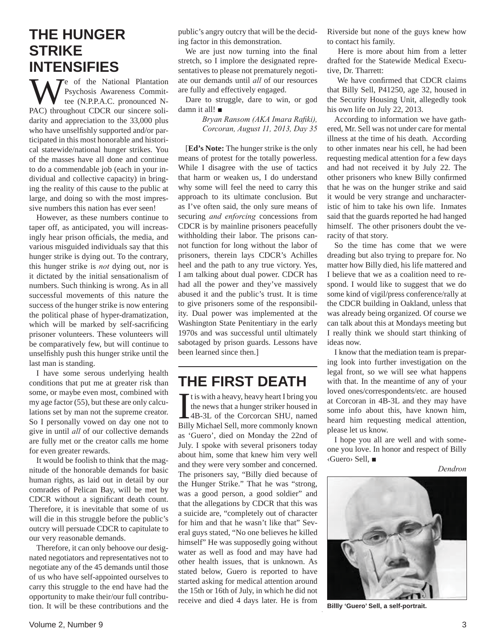## **THE HUNGER STRIKE INTENSIFIES**

Te of the National Plantation Psychosis Awareness Committee (N.P.P.A.C. pronounced N-PAC) throughout CDCR our sincere solidarity and appreciation to the 33,000 plus who have unselfishly supported and/or participated in this most honorable and historical statewide/national hunger strikes. You of the masses have all done and continue to do a commendable job (each in your individual and collective capacity) in bringing the reality of this cause to the public at large, and doing so with the most impressive numbers this nation has ever seen!

However, as these numbers continue to taper off, as anticipated, you will increasingly hear prison officials, the media, and various misguided individuals say that this hunger strike is dying out. To the contrary, this hunger strike is *not* dying out, nor is it dictated by the initial sensationalism of numbers. Such thinking is wrong. As in all successful movements of this nature the success of the hunger strike is now entering the political phase of hyper-dramatization, which will be marked by self-sacrificing prisoner volunteers. These volunteers will be comparatively few, but will continue to unselfishly push this hunger strike until the last man is standing.

I have some serous underlying health conditions that put me at greater risk than some, or maybe even most, combined with my age factor (55), but these are only calculations set by man not the supreme creator. So I personally vowed on day one not to give in until *all* of our collective demands are fully met or the creator calls me home for even greater rewards.

It would be foolish to think that the magnitude of the honorable demands for basic human rights, as laid out in detail by our comrades of Pelican Bay, will be met by CDCR without a significant death count. Therefore, it is inevitable that some of us will die in this struggle before the public's outcry will persuade CDCR to capitulate to our very reasonable demands.

Therefore, it can only behoove our designated negotiators and representatives not to negotiate any of the 45 demands until those of us who have self-appointed ourselves to carry this struggle to the end have had the opportunity to make their/our full contribution. It will be these contributions and the public's angry outcry that will be the deciding factor in this demonstration.

We are just now turning into the final stretch, so I implore the designated representatives to please not prematurely negotiate our demands until *all* of our resources are fully and effectively engaged.

Dare to struggle, dare to win, or god damn it all! *■*

> *Bryan Ransom (AKA Imara Rafiki), Corcoran, August 11, 2013, Day 35*

[**Ed's Note:** The hunger strike is the only means of protest for the totally powerless. While I disagree with the use of tactics that harm or weaken us, I do understand why some will feel the need to carry this approach to its ultimate conclusion. But as I've often said, the only sure means of securing *and enforcing* concessions from CDCR is by mainline prisoners peacefully withholding their labor. The prisons cannot function for long without the labor of prisoners, therein lays CDCR's Achilles heel and the path to any true victory. Yes, I am talking about dual power. CDCR has had all the power and they've massively abused it and the public's trust. It is time to give prisoners some of the responsibility. Dual power was implemented at the Washington State Penitentiary in the early 1970s and was successful until ultimately sabotaged by prison guards. Lessons have been learned since then.]

# **THE FIRST DEATH**

It is with a heavy, heavy heart I bring you<br>the news that a hunger striker housed in<br>4B-3L of the Corcorcan SHU, named<br>Billy Michael Sell, more commonly known the news that a hunger striker housed in 4B-3L of the Corcorcan SHU, named Billy Michael Sell, more commonly known as 'Guero', died on Monday the 22nd of July. I spoke with several prisoners today about him, some that knew him very well and they were very somber and concerned. The prisoners say, "Billy died because of the Hunger Strike." That he was "strong, was a good person, a good soldier" and that the allegations by CDCR that this was a suicide are, "completely out of character for him and that he wasn't like that" Several guys stated, "No one believes he killed himself" He was supposedly going without water as well as food and may have had other health issues, that is unknown. As stated below, Guero is reported to have started asking for medical attention around the 15th or 16th of July, in which he did not receive and died 4 days later. He is from

Riverside but none of the guys knew how to contact his family.

 Here is more about him from a letter drafted for the Statewide Medical Executive, Dr. Tharrett:

We have confirmed that CDCR claims that Billy Sell, P41250, age 32, housed in the Security Housing Unit, allegedly took his own life on July 22, 2013.

According to information we have gathered, Mr. Sell was not under care for mental illness at the time of his death. According to other inmates near his cell, he had been requesting medical attention for a few days and had not received it by July 22. The other prisoners who knew Billy confirmed that he was on the hunger strike and said it would be very strange and uncharacteristic of him to take his own life. Inmates said that the guards reported he had hanged himself. The other prisoners doubt the veracity of that story.

So the time has come that we were dreading but also trying to prepare for. No matter how Billy died, his life mattered and I believe that we as a coalition need to respond. I would like to suggest that we do some kind of vigil/press conference/rally at the CDCR building in Oakland, unless that was already being organized. Of course we can talk about this at Mondays meeting but I really think we should start thinking of ideas now.

I know that the mediation team is preparing look into further investigation on the legal front, so we will see what happens with that. In the meantime of any of your loved ones/correspondents/etc. are housed at Corcoran in 4B-3L and they may have some info about this, have known him, heard him requesting medical attention, please let us know.

I hope you all are well and with someone you love. In honor and respect of Billy ‹Guero› Sell, *■*

 *Dendron*



**Billly 'Guero' Sell, a self-portrait.**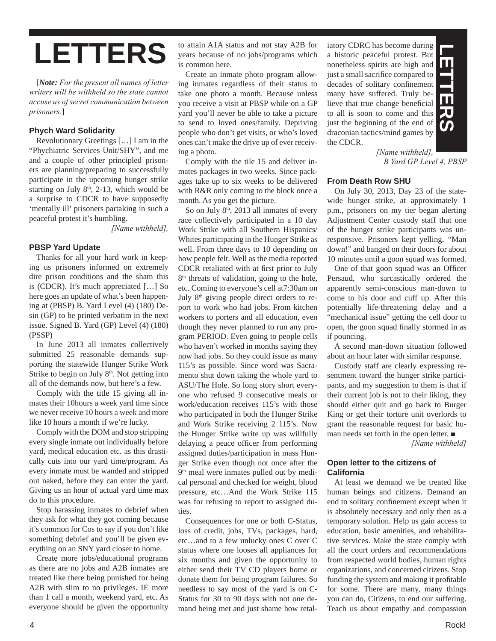# **LETTERS**

[*Note: For the present all names of letter writers will be withheld so the state cannot accuse us of secret communication between prisoners.*]

### **Phych Ward Solidarity**

Revolutionary Greetings […] I am in the "Phychiatric Services Unit/SHY", and me and a couple of other principled prisoners are planning/preparing to successfully participate in the upcoming hunger strike starting on July  $8<sup>th</sup>$ , 2-13, which would be a surprise to CDCR to have supposedly 'mentally ill' prisoners partaking in such a peaceful protest it's humbling.

*[Name withheld],* 

### **PBSP Yard Update**

Thanks for all your hard work in keeping us prisoners informed on extremely dire prison conditions and the sham this is (CDCR). It's much appreciated […] So here goes an update of what's been happening at (PBSP) B. Yard Level (4) (180) Desin (GP) to be printed verbatim in the next issue. Signed B. Yard (GP) Level (4) (180) (PSSP)

In June 2013 all inmates collectively submitted 25 reasonable demands supporting the statewide Hunger Strike Work Strike to begin on July  $8<sup>th</sup>$ . Not getting into all of the demands now, but here's a few.

Comply with the title 15 giving all inmates their 10hours a week yard time since we never receive 10 hours a week and more like 10 hours a month if we're lucky.

Comply with the DOM and stop stripping every single inmate out individually before yard, medical education etc. as this drastically cuts into our yard time/program. As every inmate must be wanded and stripped out naked, before they can enter the yard. Giving us an hour of actual yard time max do to this procedure.

Stop harassing inmates to debrief when they ask for what they got coming because it's common for Cos to say if you don't like something debrief and you'll be given everything on an SNY yard closer to home.

Create more jobs/educational programs as there are no jobs and A2B inmates are treated like there being punished for being A2B with slim to no privileges. IE more than 1 call a month, weekend yard, etc. As everyone should be given the opportunity

to attain A1A status and not stay A2B for years because of no jobs/programs which is common here.

Create an inmate photo program allowing inmates regardless of their status to take one photo a month. Because unless you receive a visit at PBSP while on a GP yard you'll never be able to take a picture to send to loved ones/family. Depriving people who don't get visits, or who's loved ones can't make the drive up of ever receiving a photo.

Comply with the tile 15 and deliver inmates packages in two weeks. Since packages take up to six weeks to be delivered with R&R only coming to the block once a month. As you get the picture.

So on July  $8<sup>th</sup>$ , 2013 all inmates of every race collectively participated in a 10 day Work Strike with all Southern Hispanics/ Whites participating in the Hunger Strike as well. From three days to 10 depending on how people felt. Well as the media reported CDCR retaliated with at first prior to July 8<sup>th</sup> threats of validation, going to the hole, etc. Coming to everyone's cell at7:30am on July  $8<sup>th</sup>$  giving people direct orders to report to work who had jobs. From kitchen workers to porters and all education, even though they never planned to run any program PERIOD. Even going to people cells who haven't worked in months saying they now had jobs. So they could issue as many 115's as possible. Since word was Sacramento shut down taking the whole yard to ASU/The Hole. So long story short everyone who refused 9 consecutive meals or work/education receives 115's with those who participated in both the Hunger Strike and Work Strike receiving 2 115's. Now the Hunger Strike write up was willfully delaying a peace officer from performing assigned duties/participation in mass Hunger Strike even though not once after the 9<sup>th</sup> meal were inmates pulled out by medical personal and checked for weight, blood pressure, etc…And the Work Strike 115 was for refusing to report to assigned duties.

Consequences for one or both C-Status, loss of credit, jobs, TVs, packages, hard, etc…and to a few unlucky ones C over C status where one looses all appliances for six months and given the opportunity to either send their TV CD players home or donate them for being program failures. So needless to say most of the yard is on C-Status for 30 to 90 days with not one demand being met and just shame how retaliatory CDRC has become during a historic peaceful protest. But nonetheless spirits are high and just a small sacrifice compared to decades of solitary confinement many have suffered. Truly believe that true change beneficial to all is soon to come and this just the beginning of the end of draconian tactics/mind games by the CDCR.



*[Name withheld], B Yard GP Level 4, PBSP* 

### **From Death Row SHU**

On July 30, 2013, Day 23 of the statewide hunger strike, at approximately 1 p.m., prisoners on my tier began alerting Adjustment Center custody staff that one of the hunger strike participants was unresponsive. Prisoners kept yelling, "Man down!" and banged on their doors for about 10 minutes until a goon squad was formed.

One of that goon squad was an Officer Persaud, who sarcastically ordered the apparently semi-conscious man-down to come to his door and cuff up. After this potentially life-threatening delay and a "mechanical issue" getting the cell door to open, the goon squad finally stormed in as if pouncing.

A second man-down situation followed about an hour later with similar response.

Custody staff are clearly expressing resentment toward the hunger strike participants, and my suggestion to them is that if their current job is not to their liking, they should either quit and go back to Burger King or get their torture unit overlords to grant the reasonable request for basic human needs set forth in the open letter. *■*

*[Name withheld]*

### **Open letter to the citizens of California**

At least we demand we be treated like human beings and citizens. Demand an end to solitary confinement except when it is absolutely necessary and only then as a temporary solution. Help us gain access to education, basic amenities, and rehabilitative services. Make the state comply with all the court orders and recommendations from respected world bodies, human rights organizations, and concerned citizens. Stop funding the system and making it profitable for some. There are many, many things you can do, Citizens, to end our suffering. Teach us about empathy and compassion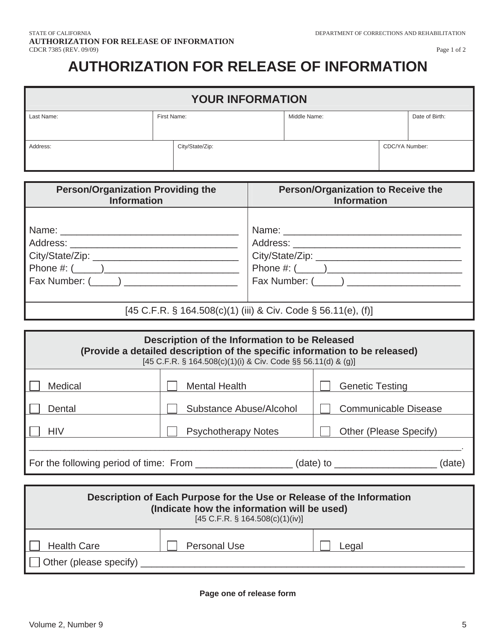# **AUTHORIZATION FOR RELEASE OF INFORMATION**

| <b>YOUR INFORMATION</b> |             |                 |              |                |                |  |
|-------------------------|-------------|-----------------|--------------|----------------|----------------|--|
| Last Name:              | First Name: |                 | Middle Name: |                | Date of Birth: |  |
| Address:                |             | City/State/Zip: |              | CDC/YA Number: |                |  |

| <b>Person/Organization Providing the</b>                      | <b>Person/Organization to Receive the</b> |  |  |
|---------------------------------------------------------------|-------------------------------------------|--|--|
| <b>Information</b>                                            | <b>Information</b>                        |  |  |
|                                                               |                                           |  |  |
|                                                               |                                           |  |  |
|                                                               |                                           |  |  |
|                                                               |                                           |  |  |
| Fax Number: (_____) ______________________                    |                                           |  |  |
| [45 C.F.R. § 164.508(c)(1) (iii) & Civ. Code § 56.11(e), (f)] |                                           |  |  |

| Description of the Information to be Released<br>(Provide a detailed description of the specific information to be released)<br>[45 C.F.R. § 164.508(c)(1)(i) & Civ. Code §§ 56.11(d) & (g)] |                            |                             |  |
|----------------------------------------------------------------------------------------------------------------------------------------------------------------------------------------------|----------------------------|-----------------------------|--|
| Medical                                                                                                                                                                                      | <b>Mental Health</b>       | Genetic Testing             |  |
| Dental                                                                                                                                                                                       | Substance Abuse/Alcohol    | <b>Communicable Disease</b> |  |
| <b>HIV</b>                                                                                                                                                                                   | <b>Psychotherapy Notes</b> | Other (Please Specify)      |  |
| For the following period of time: From _________                                                                                                                                             |                            | (data) to<br>(date)         |  |

| Description of Each Purpose for the Use or Release of the Information<br>(Indicate how the information will be used)<br>[45 C.F.R. $\S$ 164.508(c)(1)(iv)] |                     |       |  |  |
|------------------------------------------------------------------------------------------------------------------------------------------------------------|---------------------|-------|--|--|
| <b>Health Care</b>                                                                                                                                         | <b>Personal Use</b> | Legal |  |  |
| Other (please specify)                                                                                                                                     |                     |       |  |  |

### **Page one of release form**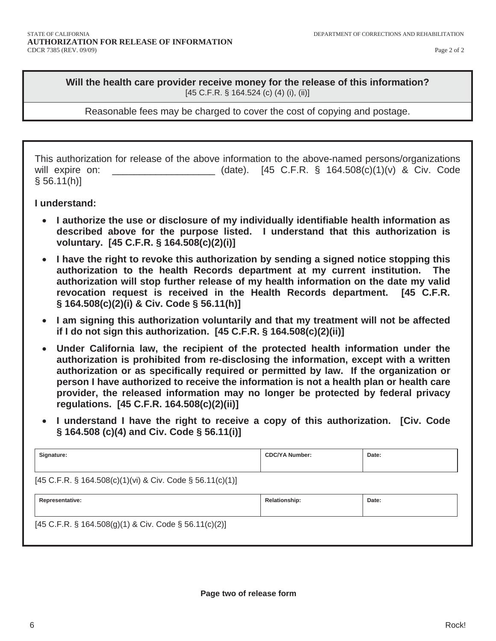**Will the health care provider receive money for the release of this information?**  [45 C.F.R. § 164.524 (c) (4) (i), (ii)]

Reasonable fees may be charged to cover the cost of copying and postage.

This authorization for release of the above information to the above-named persons/organizations will expire on: <br>
(date). [45 C.F.R. § 164.508(c)(1)(v) & Civ. Code  $§ 56.11(h)]$ 

**I understand:** 

- I authorize the use or disclosure of my individually identifiable health information as **described above for the purpose listed. I understand that this authorization is voluntary. [45 C.F.R. § 164.508(c)(2)(i)]**
- I have the right to revoke this authorization by sending a signed notice stopping this **authorization to the health Records department at my current institution. The authorization will stop further release of my health information on the date my valid revocation request is received in the Health Records department. [45 C.F.R. § 164.508(c)(2)(i) & Civ. Code § 56.11(h)]**
- I am signing this authorization voluntarily and that my treatment will not be affected **if I do not sign this authorization. [45 C.F.R. § 164.508(c)(2)(ii)]**
- Under California law, the recipient of the protected health information under the **authorization is prohibited from re-disclosing the information, except with a written authorization or as specifically required or permitted by law. If the organization or person I have authorized to receive the information is not a health plan or health care provider, the released information may no longer be protected by federal privacy regulations. [45 C.F.R. 164.508(c)(2)(ii)]**
- x **I understand I have the right to receive a copy of this authorization. [Civ. Code § 164.508 (c)(4) and Civ. Code § 56.11(i)]**

| Signature:                                                       | <b>CDC/YA Number:</b> | Date: |  |  |  |  |
|------------------------------------------------------------------|-----------------------|-------|--|--|--|--|
|                                                                  |                       |       |  |  |  |  |
| [45 C.F.R. § 164.508(c)(1)(vi) & Civ. Code § 56.11(c)(1)]        |                       |       |  |  |  |  |
| Representative:                                                  | <b>Relationship:</b>  | Date: |  |  |  |  |
|                                                                  |                       |       |  |  |  |  |
| $[45 \text{ C.F.R. }$ § 164.508(g)(1) & Civ. Code § 56.11(c)(2)] |                       |       |  |  |  |  |
|                                                                  |                       |       |  |  |  |  |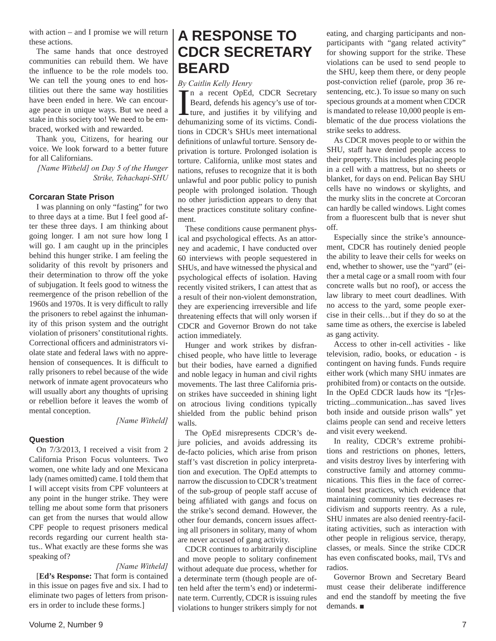with action – and I promise we will return these actions.

The same hands that once destroyed communities can rebuild them. We have the influence to be the role models too. We can tell the young ones to end hostilities out there the same way hostilities have been ended in here. We can encourage peace in unique ways. But we need a stake in this society too! We need to be embraced, worked with and rewarded.

Thank you, Citizens, for hearing our voice. We look forward to a better future for all Californians.

*[Name Witheld] on Day 5 of the Hunger Strike, Tehachapi-SHU*

### **Corcaran State Prison**

I was planning on only "fasting" for two to three days at a time. But I feel good after these three days. I am thinking about going longer. I am not sure how long I will go. I am caught up in the principles behind this hunger strike. I am feeling the solidarity of this revolt by prisoners and their determination to throw off the yoke of subjugation. It feels good to witness the reemergence of the prison rebellion of the 1960s and 1970s. It is very difficult to rally the prisoners to rebel against the inhumanity of this prison system and the outright violation of prisoners' constitutional rights. Correctional officers and administrators violate state and federal laws with no apprehension of consequences. It is difficult to rally prisoners to rebel because of the wide network of inmate agent provocateurs who will usually abort any thoughts of uprising or rebellion before it leaves the womb of mental conception.

### *[Name Witheld]*

### **Question**

On 7/3/2013, I received a visit from 2 California Prison Focus volunteers. Two women, one white lady and one Mexicana lady (names omitted) came. I told them that I will accept visits from CPF volunteers at any point in the hunger strike. They were telling me about some form that prisoners can get from the nurses that would allow CPF people to request prisoners medical records regarding our current health status.. What exactly are these forms she was speaking of?

### *[Name Witheld]*

[**Ed's Response:** That form is contained in this issue on pages five and six. I had to eliminate two pages of letters from prisoners in order to include these forms.]

## **A RESPONSE TO CDCR SECRETARY BEARD**

#### *By Caitlin Kelly Henry*

I a recent OpEd, CDCR Secretary<br>Beard, defends his agency's use of tor-<br>ture, and justifies it by vilifying and<br>dehymonizing some of its victims. Condi Beard, defends his agency's use of tor-**L** ture, and justifies it by vilifying and dehumanizing some of its victims. Conditions in CDCR's SHUs meet international definitions of unlawful torture. Sensory deprivation is torture. Prolonged isolation is torture. California, unlike most states and nations, refuses to recognize that it is both unlawful and poor public policy to punish people with prolonged isolation. Though no other jurisdiction appears to deny that these practices constitute solitary confinement.

These conditions cause permanent physical and psychological effects. As an attorney and academic, I have conducted over 60 interviews with people sequestered in SHUs, and have witnessed the physical and psychological effects of isolation. Having recently visited strikers, I can attest that as a result of their non-violent demonstration, they are experiencing irreversible and life threatening effects that will only worsen if CDCR and Governor Brown do not take action immediately.

Hunger and work strikes by disfranchised people, who have little to leverage but their bodies, have earned a dignified and noble legacy in human and civil rights movements. The last three California prison strikes have succeeded in shining light on atrocious living conditions typically shielded from the public behind prison walls.

The OpEd misrepresents CDCR's dejure policies, and avoids addressing its de-facto policies, which arise from prison staff's vast discretion in policy interpretation and execution. The OpEd attempts to narrow the discussion to CDCR's treatment of the sub-group of people staff accuse of being affiliated with gangs and focus on the strike's second demand. However, the other four demands, concern issues affecting all prisoners in solitary, many of whom are never accused of gang activity.

CDCR continues to arbitrarily discipline and move people to solitary confinement without adequate due process, whether for a determinate term (though people are often held after the term's end) or indeterminate term. Currently, CDCR is issuing rules violations to hunger strikers simply for not eating, and charging participants and nonparticipants with "gang related activity" for showing support for the strike. These violations can be used to send people to the SHU, keep them there, or deny people post-conviction relief (parole, prop 36 resentencing, etc.). To issue so many on such specious grounds at a moment when CDCR is mandated to release 10,000 people is emblematic of the due process violations the strike seeks to address.

As CDCR moves people to or within the SHU, staff have denied people access to their property. This includes placing people in a cell with a mattress, but no sheets or blanket, for days on end. Pelican Bay SHU cells have no windows or skylights, and the murky slits in the concrete at Corcoran can hardly be called windows. Light comes from a fluorescent bulb that is never shut off.

Especially since the strike's announcement, CDCR has routinely denied people the ability to leave their cells for weeks on end, whether to shower, use the "yard" (either a metal cage or a small room with four concrete walls but no roof), or access the law library to meet court deadlines. With no access to the yard, some people exercise in their cells…but if they do so at the same time as others, the exercise is labeled as gang activity.

Access to other in-cell activities - like television, radio, books, or education - is contingent on having funds. Funds require either work (which many SHU inmates are prohibited from) or contacts on the outside. In the OpEd CDCR lauds how its "[r]estricting...communication...has saved lives both inside and outside prison walls" yet claims people can send and receive letters and visit every weekend.

In reality, CDCR's extreme prohibitions and restrictions on phones, letters, and visits destroy lives by interfering with constructive family and attorney communications. This flies in the face of correctional best practices, which evidence that maintaining community ties decreases recidivism and supports reentry. As a rule, SHU inmates are also denied reentry-facilitating activities, such as interaction with other people in religious service, therapy, classes, or meals. Since the strike CDCR has even confiscated books, mail, TVs and radios.

Governor Brown and Secretary Beard must cease their deliberate indifference and end the standoff by meeting the five demands. *■*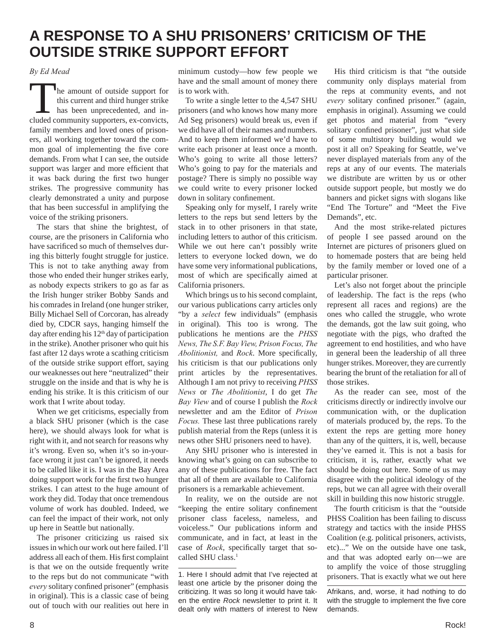# **A RESPONSE TO A SHU PRISONERS' CRITICISM OF THE OUTSIDE STRIKE SUPPORT EFFORT**

*By Ed Mead*

The amount of outside support for this current and third hunger strike has been unprecedented, and included community supporters, ex-convicts, family members and loved ones of prisoners, all working together toward the common goal of implementing the five core demands. From what I can see, the outside support was larger and more efficient that it was back during the first two hunger strikes. The progressive community has clearly demonstrated a unity and purpose that has been successful in amplifying the voice of the striking prisoners.

The stars that shine the brightest, of course, are the prisoners in California who have sacrificed so much of themselves during this bitterly fought struggle for justice. This is not to take anything away from those who ended their hunger strikes early, as nobody expects strikers to go as far as the Irish hunger striker Bobby Sands and his comrades in Ireland (one hunger striker, Billy Michael Sell of Corcoran, has already died by, CDCR says, hanging himself the day after ending his  $12<sup>th</sup>$  day of participation in the strike). Another prisoner who quit his fast after 12 days wrote a scathing criticism of the outside strike support effort, saying our weaknesses out here "neutralized" their struggle on the inside and that is why he is ending his strike. It is this criticism of our work that I write about today.

When we get criticisms, especially from a black SHU prisoner (which is the case here), we should always look for what is right with it, and not search for reasons why it's wrong. Even so, when it's so in-yourface wrong it just can't be ignored, it needs to be called like it is. I was in the Bay Area doing support work for the first two hunger strikes. I can attest to the huge amount of work they did. Today that once tremendous volume of work has doubled. Indeed, we can feel the impact of their work, not only up here in Seattle but nationally.

The prisoner criticizing us raised six issues in which our work out here failed. I'll address all each of them. His first complaint is that we on the outside frequently write to the reps but do not communicate "with *every* solitary confined prisoner" (emphasis in original). This is a classic case of being out of touch with our realities out here in

minimum custody—how few people we have and the small amount of money there is to work with.

To write a single letter to the 4,547 SHU prisoners (and who knows how many more Ad Seg prisoners) would break us, even if we did have all of their names and numbers. And to keep them informed we'd have to write each prisoner at least once a month. Who's going to write all those letters? Who's going to pay for the materials and postage? There is simply no possible way we could write to every prisoner locked down in solitary confinement.

Speaking only for myself, I rarely write letters to the reps but send letters by the stack in to other prisoners in that state, including letters to author of this criticism. While we out here can't possibly write letters to everyone locked down, we do have some very informational publications, most of which are specifically aimed at California prisoners.

Which brings us to his second complaint, our various publications carry articles only "by a *select* few individuals" (emphasis in original). This too is wrong. The publications he mentions are the *PHSS News, The S.F. Bay View, Prison Focus, The Abolitionist, and Rock. More specifically,* his criticism is that our publications only print articles by the representatives. Although I am not privy to receiving *PHSS News* or *The Abolitionist*, I do get *The Bay View* and of course I publish the *Rock*  newsletter and am the Editor of *Prison Focus.* These last three publications rarely publish material from the Reps (unless it is news other SHU prisoners need to have).

Any SHU prisoner who is interested in knowing what's going on can subscribe to any of these publications for free. The fact that all of them are available to California prisoners is a remarkable achievement.

In reality, we on the outside are not "keeping the entire solitary confinement prisoner class faceless, nameless, and voiceless." Our publications inform and communicate, and in fact, at least in the case of *Rock*, specifically target that socalled SHU class.<sup>1</sup>

His third criticism is that "the outside community only displays material from the reps at community events, and not *every* solitary confined prisoner." (again, emphasis in original). Assuming we could get photos and material from "every solitary confined prisoner", just what side of some multistory building would we post it all on? Speaking for Seattle, we've never displayed materials from any of the reps at any of our events. The materials we distribute are written by us or other outside support people, but mostly we do banners and picket signs with slogans like "End The Torture" and "Meet the Five Demands", etc.

And the most strike-related pictures of people I see passed around on the Internet are pictures of prisoners glued on to homemade posters that are being held by the family member or loved one of a particular prisoner.

Let's also not forget about the principle of leadership. The fact is the reps (who represent all races and regions) are the ones who called the struggle, who wrote the demands, got the law suit going, who negotiate with the pigs, who drafted the agreement to end hostilities, and who have in general been the leadership of all three hunger strikes. Moreover, they are currently bearing the brunt of the retaliation for all of those strikes.

As the reader can see, most of the criticisms directly or indirectly involve our communication with, or the duplication of materials produced by, the reps. To the extent the reps are getting more honey than any of the quitters, it is, well, because they've earned it. This is not a basis for criticism, it is, rather, exactly what we should be doing out here. Some of us may disagree with the political ideology of the reps, but we can all agree with their overall skill in building this now historic struggle.

The fourth criticism is that the "outside PHSS Coalition has been failing to discuss strategy and tactics with the inside PHSS Coalition (e.g. political prisoners, activists, etc)..." We on the outside have one task, and that was adopted early on—we are to amplify the voice of those struggling prisoners. That is exactly what we out here

Afrikans, and, worse, it had nothing to do with the struggle to implement the five core demands.

<sup>1.</sup> Here I should admit that I've rejected at least one article by the prisoner doing the criticizing. It was so long it would have taken the entire *Rock* newsletter to print it. It dealt only with matters of interest to New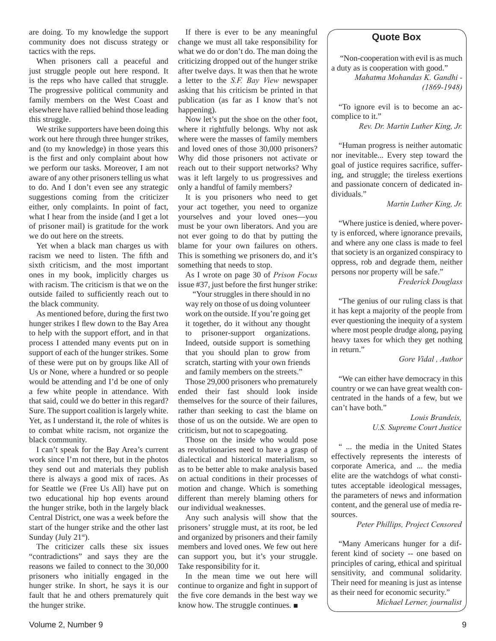are doing. To my knowledge the support community does not discuss strategy or tactics with the reps.

When prisoners call a peaceful and just struggle people out here respond. It is the reps who have called that struggle. The progressive political community and family members on the West Coast and elsewhere have rallied behind those leading this struggle.

We strike supporters have been doing this work out here through three hunger strikes, and (to my knowledge) in those years this is the first and only complaint about how we perform our tasks. Moreover, I am not aware of any other prisoners telling us what to do. And I don't even see any strategic suggestions coming from the criticizer either, only complaints. In point of fact, what I hear from the inside (and I get a lot of prisoner mail) is gratitude for the work we do out here on the streets.

Yet when a black man charges us with racism we need to listen. The fifth and sixth criticism, and the most important ones in my book, implicitly charges us with racism. The criticism is that we on the outside failed to sufficiently reach out to the black community.

As mentioned before, during the first two hunger strikes I flew down to the Bay Area to help with the support effort, and in that process I attended many events put on in support of each of the hunger strikes. Some of these were put on by groups like All of Us or None, where a hundred or so people would be attending and I'd be one of only a few white people in attendance. With that said, could we do better in this regard? Sure. The support coalition is largely white. Yet, as I understand it, the role of whites is to combat white racism, not organize the black community.

I can't speak for the Bay Area's current work since I'm not there, but in the photos they send out and materials they publish there is always a good mix of races. As for Seattle we (Free Us All) have put on two educational hip hop events around the hunger strike, both in the largely black Central District, one was a week before the start of the hunger strike and the other last Sunday (July  $21<sup>st</sup>$ ).

The criticizer calls these six issues "contradictions" and says they are the reasons we failed to connect to the 30,000 prisoners who initially engaged in the hunger strike. In short, he says it is our fault that he and others prematurely quit the hunger strike.

If there is ever to be any meaningful change we must all take responsibility for what we do or don't do. The man doing the criticizing dropped out of the hunger strike after twelve days. It was then that he wrote a letter to the *S.F. Bay View* newspaper asking that his criticism be printed in that publication (as far as I know that's not happening).

Now let's put the shoe on the other foot, where it rightfully belongs. Why not ask where were the masses of family members and loved ones of those 30,000 prisoners? Why did those prisoners not activate or reach out to their support networks? Why was it left largely to us progressives and only a handful of family members?

It is you prisoners who need to get your act together, you need to organize yourselves and your loved ones—you must be your own liberators. And you are not ever going to do that by putting the blame for your own failures on others. This is something we prisoners do, and it's something that needs to stop.

As I wrote on page 30 of *Prison Focus* issue  $#37$ , just before the first hunger strike:

"Your struggles in there should in no way rely on those of us doing volunteer work on the outside. If you're going get it together, do it without any thought to prisoner-support organizations. Indeed, outside support is something that you should plan to grow from scratch, starting with your own friends and family members on the streets."

Those 29,000 prisoners who prematurely ended their fast should look inside themselves for the source of their failures, rather than seeking to cast the blame on those of us on the outside. We are open to criticism, but not to scapegoating.

Those on the inside who would pose as revolutionaries need to have a grasp of dialectical and historical materialism, so as to be better able to make analysis based on actual conditions in their processes of motion and change. Which is something different than merely blaming others for our individual weaknesses.

Any such analysis will show that the prisoners' struggle must, at its root, be led and organized by prisoners and their family members and loved ones. We few out here can support you, but it's your struggle. Take responsibility for it.

In the mean time we out here will continue to organize and fight in support of the five core demands in the best way we know how. The struggle continues. *■*

### **Quote Box**

 "Non-cooperation with evil is as much a duty as is cooperation with good."

> *Mahatma Mohandas K. Gandhi - (1869-1948)*

"To ignore evil is to become an accomplice to it."

*Rev. Dr. Martin Luther King, Jr.* 

"Human progress is neither automatic nor inevitable... Every step toward the goal of justice requires sacrifice, suffering, and struggle; the tireless exertions and passionate concern of dedicated individuals."

*Martin Luther King, Jr.*

"Where justice is denied, where poverty is enforced, where ignorance prevails, and where any one class is made to feel that society is an organized conspiracy to oppress, rob and degrade them, neither persons nor property will be safe."

*Frederick Douglass* 

"The genius of our ruling class is that it has kept a majority of the people from ever questioning the inequity of a system where most people drudge along, paying heavy taxes for which they get nothing in return."

*Gore Vidal , Author*

"We can either have democracy in this country or we can have great wealth concentrated in the hands of a few, but we can't have both."

> *Louis Brandeis, U.S. Supreme Court Justice*

" ... the media in the United States effectively represents the interests of corporate America, and ... the media elite are the watchdogs of what constitutes acceptable ideological messages, the parameters of news and information content, and the general use of media resources.

*Peter Phillips, Project Censored* 

"Many Americans hunger for a different kind of society -- one based on principles of caring, ethical and spiritual sensitivity, and communal solidarity. Their need for meaning is just as intense as their need for economic security."

*Michael Lerner, journalist*